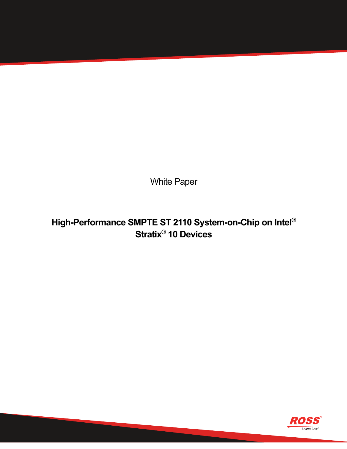White Paper

# **High-Performance SMPTE ST 2110 System-on-Chip on Intel® Stratix® 10 Devices**

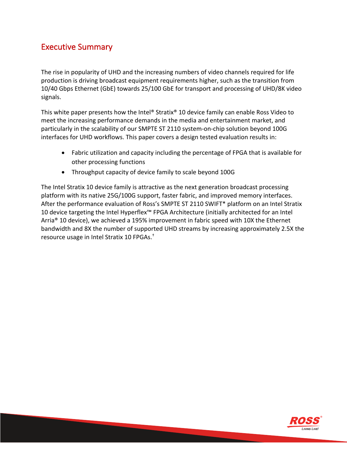# Executive Summary

The rise in popularity of UHD and the increasing numbers of video channels required for life production is driving broadcast equipment requirements higher, such as the transition from 10/40 Gbps Ethernet (GbE) towards 25/100 GbE for transport and processing of UHD/8K video signals.

This white paper presents how the Intel® Stratix® 10 device family can enable Ross Video to meet the increasing performance demands in the media and entertainment market, and particularly in the scalability of our SMPTE ST 2110 system-on-chip solution beyond 100G interfaces for UHD workflows. This paper covers a design tested evaluation results in:

- Fabric utilization and capacity including the percentage of FPGA that is available for other processing functions
- Throughput capacity of device family to scale beyond 100G

The Intel Stratix 10 device family is attractive as the next generation broadcast processing platform with its native 25G/100G support, faster fabric, and improved memory interfaces. After the performance evaluation of Ross's SMPTE ST 2110 SWIFT\* platform on an Intel Stratix 10 device targeting the Intel Hyperflex™ FPGA Architecture (initially architected for an Intel Arria® 10 device), we achieved a 195% improvement in fabric speed with 10X the Ethernet bandwidth and 8X the number of supported UHD streams by increasing approximately 2.5X the resource usage in Intel Stratix 10 FPGAs. †

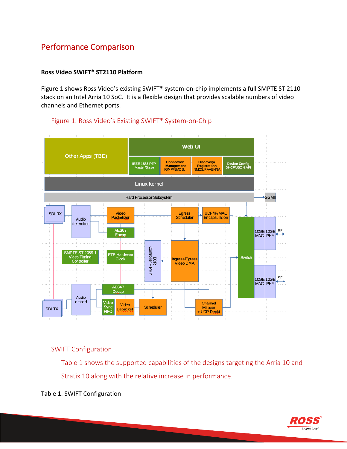# Performance Comparison

#### **Ross Video SWIFT\* ST2110 Platform**

Figure 1 shows Ross Video's existing SWIFT\* system-on-chip implements a full SMPTE ST 2110 stack on an Intel Arria 10 SoC. It is a flexible design that provides scalable numbers of video channels and Ethernet ports.



### Figure 1. Ross Video's Existing SWIFT\* System-on-Chip

### SWIFT Configuration

Table 1 shows the supported capabilities of the designs targeting the Arria 10 and Stratix 10 along with the relative increase in performance.

Table 1. SWIFT Configuration

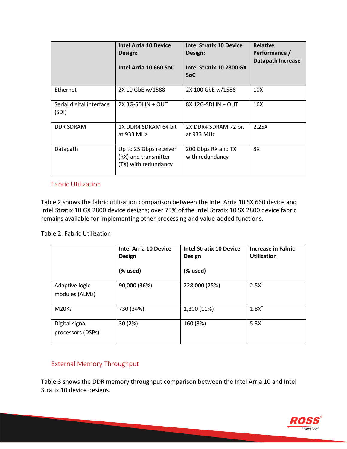|                                   | <b>Intel Arria 10 Device</b><br>Design:<br>Intel Arria 10 660 SoC      | <b>Intel Stratix 10 Device</b><br>Design:<br>Intel Stratix 10 2800 GX<br><b>SoC</b> | <b>Relative</b><br>Performance /<br><b>Datapath Increase</b> |
|-----------------------------------|------------------------------------------------------------------------|-------------------------------------------------------------------------------------|--------------------------------------------------------------|
| Ethernet                          | 2X 10 GbE w/1588                                                       | 2X 100 GbE w/1588                                                                   | 10 <sub>X</sub>                                              |
| Serial digital interface<br>(SDI) | $2X$ 3G-SDI IN + OUT                                                   | 8X 12G-SDI IN + OUT                                                                 | 16X                                                          |
| <b>DDR SDRAM</b>                  | 1X DDR4 SDRAM 64 bit<br>at 933 MHz                                     | 2X DDR4 SDRAM 72 bit<br>at 933 MHz                                                  | 2.25X                                                        |
| Datapath                          | Up to 25 Gbps receiver<br>(RX) and transmitter<br>(TX) with redundancy | 200 Gbps RX and TX<br>with redundancy                                               | 8X                                                           |

#### Fabric Utilization

Table 2 shows the fabric utilization comparison between the Intel Arria 10 SX 660 device and Intel Stratix 10 GX 2800 device designs; over 75% of the Intel Stratix 10 SX 2800 device fabric remains available for implementing other processing and value-added functions.

#### Table 2. Fabric Utilization

|                                     | Intel Arria 10 Device<br><b>Design</b><br>(% used) | <b>Intel Stratix 10 Device</b><br><b>Design</b><br>(% used) | <b>Increase in Fabric</b><br><b>Utilization</b> |
|-------------------------------------|----------------------------------------------------|-------------------------------------------------------------|-------------------------------------------------|
|                                     |                                                    |                                                             |                                                 |
| Adaptive logic<br>modules (ALMs)    | 90,000 (36%)                                       | 228,000 (25%)                                               | $2.5X^+$                                        |
| M <sub>20Ks</sub>                   | 730 (34%)                                          | 1,300 (11%)                                                 | $1.8X^+$                                        |
| Digital signal<br>processors (DSPs) | 30(2%)                                             | 160 (3%)                                                    | 5.3X <sup>†</sup>                               |

### External Memory Throughput

Table 3 shows the DDR memory throughput comparison between the Intel Arria 10 and Intel Stratix 10 device designs.